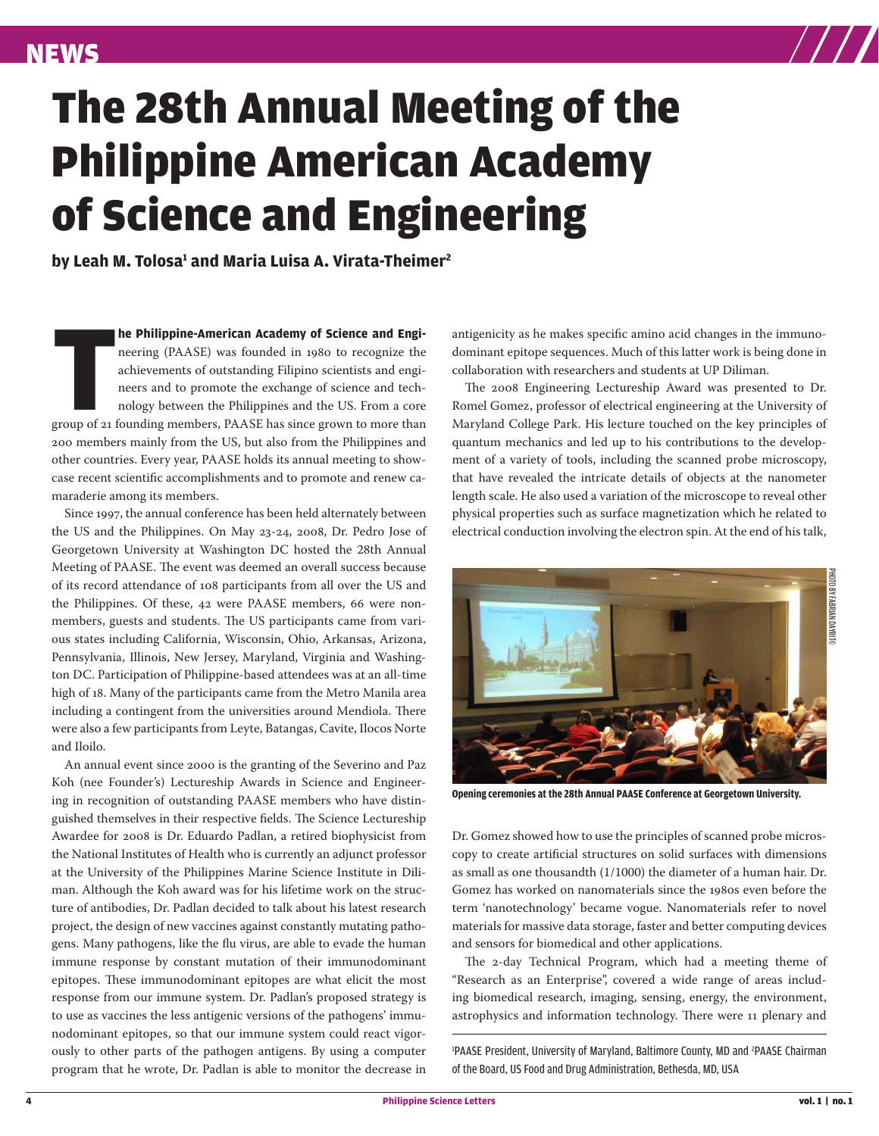

## The 28th Annual Meeting of the Philippine American Academy of Science and Engineering

by Leah M. Tolosa<del>'</del> and Maria Luisa A. Virata-Theimer<del>'</del>

**THE Philippine-American Academy of Science and Engineering (PAASE) was founded in 1980 to recognize the achievements of outstanding Filipino scientists and engineers and to promote the exchange of science and technology b he Philippine-American Academy of Science and Engi**neering (PAASE) was founded in 1980 to recognize the achievements of outstanding Filipino scientists and engineers and to promote the exchange of science and technology between the Philippines and the US. From a core 200 members mainly from the US, but also from the Philippines and other countries. Every year, PAASE holds its annual meeting to showcase recent scientific accomplishments and to promote and renew camaraderie among its members.

Since 1997, the annual conference has been held alternately between the US and the Philippines. On May 23-24, 2008, Dr. Pedro Jose of Georgetown University at Washington DC hosted the 28th Annual Meeting of PAASE. The event was deemed an overall success because of its record attendance of 108 participants from all over the US and the Philippines. Of these, 42 were PAASE members, 66 were nonmembers, guests and students. The US participants came from various states including California, Wisconsin, Ohio, Arkansas, Arizona, Pennsylvania, Illinois, New Jersey, Maryland, Virginia and Washington DC. Participation of Philippine-based attendees was at an all-time high of 18. Many of the participants came from the Metro Manila area including a contingent from the universities around Mendiola. There were also a few participants from Leyte, Batangas, Cavite, Ilocos Norte and Iloilo.

An annual event since 2000 is the granting of the Severino and Paz Koh (nee Founder's) Lectureship Awards in Science and Engineering in recognition of outstanding PAASE members who have distinguished themselves in their respective fields. The Science Lectureship Awardee for 2008 is Dr. Eduardo Padlan, a retired biophysicist from the National Institutes of Health who is currently an adjunct professor at the University of the Philippines Marine Science Institute in Diliman. Although the Koh award was for his lifetime work on the structure of antibodies, Dr. Padlan decided to talk about his latest research project, the design of new vaccines against constantly mutating pathogens. Many pathogens, like the flu virus, are able to evade the human immune response by constant mutation of their immunodominant epitopes. These immunodominant epitopes are what elicit the most response from our immune system. Dr. Padlan's proposed strategy is to use as vaccines the less antigenic versions of the pathogens' immunodominant epitopes, so that our immune system could react vigorously to other parts of the pathogen antigens. By using a computer program that he wrote, Dr. Padlan is able to monitor the decrease in

antigenicity as he makes specific amino acid changes in the immunodominant epitope sequences. Much of this latter work is being done in collaboration with researchers and students at UP Diliman.

The 2008 Engineering Lectureship Award was presented to Dr. Romel Gomez, professor of electrical engineering at the University of Maryland College Park. His lecture touched on the key principles of quantum mechanics and led up to his contributions to the development of a variety of tools, including the scanned probe microscopy, that have revealed the intricate details of objects at the nanometer length scale. He also used a variation of the microscope to reveal other physical properties such as surface magnetization which he related to electrical conduction involving the electron spin. At the end of his talk,



**Opening ceremonies at the 28th Annual PAASE Conference at Georgetown University.** 

Dr. Gomez showed how to use the principles of scanned probe microscopy to create artificial structures on solid surfaces with dimensions as small as one thousandth (1/1000) the diameter of a human hair. Dr. Gomez has worked on nanomaterials since the 1980s even before the term 'nanotechnology' became vogue. Nanomaterials refer to novel materials for massive data storage, faster and better computing devices and sensors for biomedical and other applications.

The 2-day Technical Program, which had a meeting theme of "Research as an Enterprise", covered a wide range of areas including biomedical research, imaging, sensing, energy, the environment, astrophysics and information technology. There were 11 plenary and

<sup>1</sup>PAASE President, University of Maryland, Baltimore County, MD and <sup>2</sup>PAASE Chairman of the Board, US Food and Drug Administration, Bethesda, MD, USA